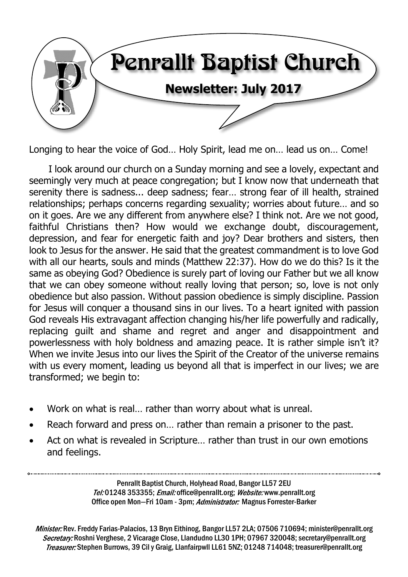

Longing to hear the voice of God… Holy Spirit, lead me on… lead us on… Come!

I look around our church on a Sunday morning and see a lovely, expectant and seemingly very much at peace congregation; but I know now that underneath that serenity there is sadness... deep sadness; fear… strong fear of ill health, strained relationships; perhaps concerns regarding sexuality; worries about future… and so on it goes. Are we any different from anywhere else? I think not. Are we not good, faithful Christians then? How would we exchange doubt, discouragement, depression, and fear for energetic faith and joy? Dear brothers and sisters, then look to Jesus for the answer. He said that the greatest commandment is to love God with all our hearts, souls and minds (Matthew 22:37). How do we do this? Is it the same as obeying God? Obedience is surely part of loving our Father but we all know that we can obey someone without really loving that person; so, love is not only obedience but also passion. Without passion obedience is simply discipline. Passion for Jesus will conquer a thousand sins in our lives. To a heart ignited with passion God reveals His extravagant affection changing his/her life powerfully and radically, replacing guilt and shame and regret and anger and disappointment and powerlessness with holy boldness and amazing peace. It is rather simple isn't it? When we invite Jesus into our lives the Spirit of the Creator of the universe remains with us every moment, leading us beyond all that is imperfect in our lives; we are transformed; we begin to:

- · Work on what is real… rather than worry about what is unreal.
- Reach forward and press on... rather than remain a prisoner to the past.
- Act on what is revealed in Scripture... rather than trust in our own emotions and feelings.

Penrallt Baptist Church, Holyhead Road, Bangor LL57 2EU Tel:01248 353355; Email: office@penrallt.org; Website: www.penrallt.org Office open Mon-Fri 10am - 3pm; Administrator: Magnus Forrester-Barker

Minister: Rev. Freddy Farias-Palacios, 13 Bryn Eithinog, Bangor LL57 2LA; 07506 710694: minister@penrallt.org Secretary: Roshni Verghese, 2 Vicarage Close, Llandudno LL30 1PH; 07967 320048; secretary@penrallt.org Treasurer: Stephen Burrows, 39 Cil y Graig, Llanfairpwll LL61 5NZ; 01248 714048; treasurer@penrallt.org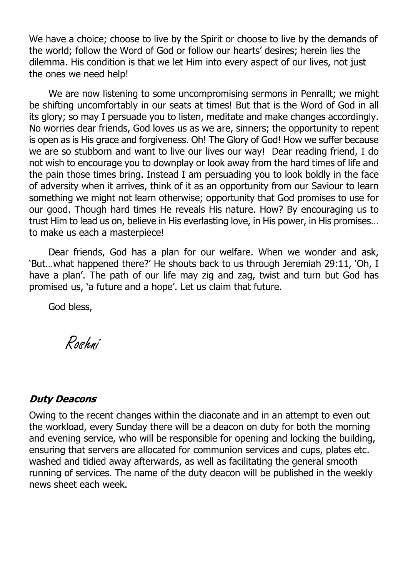We have a choice; choose to live by the Spirit or choose to live by the demands of the world; follow the Word of God or follow our hearts' desires; herein lies the dilemma. His condition is that we let Him into every aspect of our lives, not just the ones we need help!

We are now listening to some uncompromising sermons in Penrallt; we might be shifting uncomfortably in our seats at times! But that is the Word of God in all its glory; so may I persuade you to listen, meditate and make changes accordingly. No worries dear friends, God loves us as we are, sinners; the opportunity to repent is open as is His grace and forgiveness. Oh! The Glory of God! How we suffer because we are so stubborn and want to live our lives our way! Dear reading friend, I do not wish to encourage you to downplay or look away from the hard times of life and the pain those times bring. Instead I am persuading you to look boldly in the face of adversity when it arrives, think of it as an opportunity from our Saviour to learn something we might not learn otherwise; opportunity that God promises to use for our good. Though hard times He reveals His nature. How? By encouraging us to trust Him to lead us on, believe in His everlasting love, in His power, in His promises… to make us each a masterpiece!

Dear friends, God has a plan for our welfare. When we wonder and ask, 'But…what happened there?' He shouts back to us through Jeremiah 29:11, 'Oh, I have a plan'. The path of our life may zig and zag, twist and turn but God has promised us, 'a future and a hope'. Let us claim that future.

God bless,

Roshni

#### **Duty Deacons**

Owing to the recent changes within the diaconate and in an attempt to even out the workload, every Sunday there will be a deacon on duty for both the morning and evening service, who will be responsible for opening and locking the building, ensuring that servers are allocated for communion services and cups, plates etc. washed and tidied away afterwards, as well as facilitating the general smooth running of services. The name of the duty deacon will be published in the weekly news sheet each week.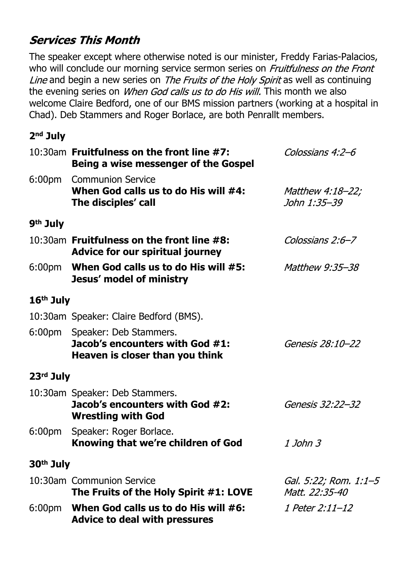# **Services This Month**

The speaker except where otherwise noted is our minister, Freddy Farias-Palacios, who will conclude our morning service sermon series on Fruitfulness on the Front Line and begin a new series on The Fruits of the Holy Spirit as well as continuing the evening series on *When God calls us to do His will*. This month we also welcome Claire Bedford, one of our BMS mission partners (working at a hospital in Chad). Deb Stammers and Roger Borlace, are both Penrallt members.

#### **2nd July**

|                       | 10:30am Fruitfulness on the front line #7:<br>Being a wise messenger of the Gospel                  | Colossians 4:2-6                        |  |  |
|-----------------------|-----------------------------------------------------------------------------------------------------|-----------------------------------------|--|--|
|                       | 6:00pm Communion Service<br>When God calls us to do His will #4:<br>The disciples' call             | <i>Matthew 4:18-22;</i><br>John 1:35–39 |  |  |
| 9 <sup>th</sup> July  |                                                                                                     |                                         |  |  |
|                       | 10:30am Fruitfulness on the front line #8:<br>Colossians 2:6-7<br>Advice for our spiritual journey  |                                         |  |  |
|                       | 6:00pm When God calls us to do His will #5:<br>Jesus' model of ministry                             | <i>Matthew 9:35-38</i>                  |  |  |
| $16th$ July           |                                                                                                     |                                         |  |  |
|                       | 10:30am Speaker: Claire Bedford (BMS).                                                              |                                         |  |  |
|                       | 6:00pm Speaker: Deb Stammers.<br>Jacob's encounters with God #1:<br>Heaven is closer than you think | Genesis 28:10-22                        |  |  |
| 23rd July             |                                                                                                     |                                         |  |  |
|                       | 10:30am Speaker: Deb Stammers.<br>Jacob's encounters with God #2:<br><b>Wrestling with God</b>      | Genesis 32:22-32                        |  |  |
|                       | 6:00pm Speaker: Roger Borlace.<br>Knowing that we're children of God                                | 1 John 3                                |  |  |
| 30 <sup>th</sup> July |                                                                                                     |                                         |  |  |
|                       | 10:30am Communion Service<br>The Fruits of the Holy Spirit #1: LOVE                                 | Gal. 5:22; Rom. 1:1-5<br>Matt. 22:35-40 |  |  |
| 6:00pm                | When God calls us to do His will #6:<br><b>Advice to deal with pressures</b>                        | 1 Peter 2:11-12                         |  |  |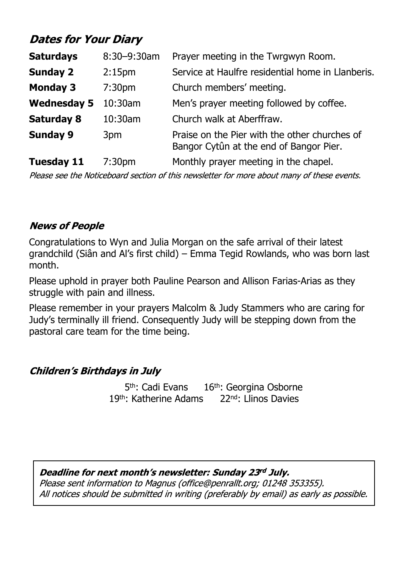# **Dates for Your Diary**

| <b>Saturdays</b>   | 8:30-9:30am        | Prayer meeting in the Twrgwyn Room.                                                      |  |  |
|--------------------|--------------------|------------------------------------------------------------------------------------------|--|--|
| <b>Sunday 2</b>    | 2:15 <sub>pm</sub> | Service at Haulfre residential home in Llanberis.                                        |  |  |
| <b>Monday 3</b>    | 7:30 <sub>pm</sub> | Church members' meeting.                                                                 |  |  |
| <b>Wednesday 5</b> | 10:30am            | Men's prayer meeting followed by coffee.                                                 |  |  |
| <b>Saturday 8</b>  | 10:30am            | Church walk at Aberffraw.                                                                |  |  |
| <b>Sunday 9</b>    | 3pm                | Praise on the Pier with the other churches of<br>Bangor Cytûn at the end of Bangor Pier. |  |  |
|                    |                    |                                                                                          |  |  |

**Tuesday 11** 7:30pm Monthly prayer meeting in the chapel.

Please see the Noticeboard section of this newsletter for more about many of these events.

#### **News of People**

Congratulations to Wyn and Julia Morgan on the safe arrival of their latest grandchild (Siân and Al's first child) – Emma Tegid Rowlands, who was born last month.

Please uphold in prayer both Pauline Pearson and Allison Farias-Arias as they struggle with pain and illness.

Please remember in your prayers Malcolm & Judy Stammers who are caring for Judy's terminally ill friend. Consequently Judy will be stepping down from the pastoral care team for the time being.

#### **Children's Birthdays in July**

5<sup>th</sup>: Cadi Evans 16<sup>th</sup>: Georgina Osborne 19th: Katherine Adams 22nd: Llinos Davies

Deadline for next month's newsletter: Sunday 23rd July. Please sent information to Magnus (office@penrallt.org; 01248 353355). All notices should be submitted in writing (preferably by email) as early as possible.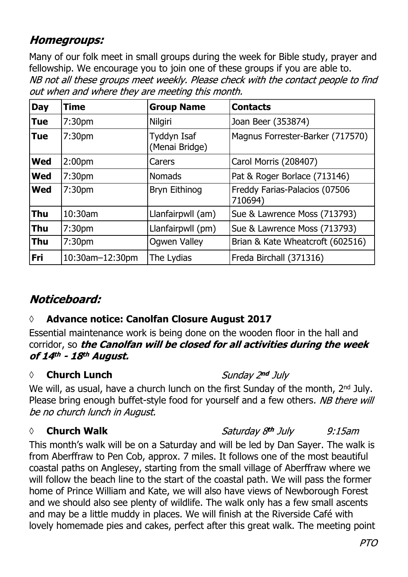### **Homegroups:**

Many of our folk meet in small groups during the week for Bible study, prayer and fellowship. We encourage you to join one of these groups if you are able to.NB not all these groups meet weekly. Please check with the contact people to find out when and where they are meeting this month.

| <b>Day</b> | <b>Time</b>        | <b>Group Name</b>             | <b>Contacts</b>                          |
|------------|--------------------|-------------------------------|------------------------------------------|
| <b>Tue</b> | 7:30 <sub>pm</sub> | Nilgiri                       | Joan Beer (353874)                       |
| <b>Tue</b> | 7:30 <sub>pm</sub> | Tyddyn Isaf<br>(Menai Bridge) | Magnus Forrester-Barker (717570)         |
| <b>Wed</b> | 2:00 <sub>pm</sub> | Carers                        | Carol Morris (208407)                    |
| <b>Wed</b> | 7:30 <sub>pm</sub> | <b>Nomads</b>                 | Pat & Roger Borlace (713146)             |
| <b>Wed</b> | 7:30pm             | Bryn Eithinog                 | Freddy Farias-Palacios (07506<br>710694) |
| <b>Thu</b> | 10:30am            | Llanfairpwll (am)             | Sue & Lawrence Moss (713793)             |
| <b>Thu</b> | 7:30 <sub>pm</sub> | Llanfairpwll (pm)             | Sue & Lawrence Moss (713793)             |
| <b>Thu</b> | 7:30pm             | <b>Ogwen Valley</b>           | Brian & Kate Wheatcroft (602516)         |
| Fri        | 10:30am-12:30pm    | The Lydias                    | Freda Birchall (371316)                  |

# Noticeboard:

#### **◊ Advance notice: Canolfan Closure August 2017**

Essential maintenance work is being done on the wooden floor in the hall and corridor, so the Canolfan will be closed for all activities during the week of 14th - 18th August.

#### *◊* **Church Lunch**

Sunday 2nd July

We will, as usual, have a church lunch on the first Sunday of the month, 2<sup>nd</sup> July. Please bring enough buffet-style food for yourself and a few others. NB there will be no church lunch in August.

#### *◊* **Church Walk**

Saturday 8<sup>th</sup> July  $9:15$ am

This month's walk will be on a Saturday and will be led by Dan Sayer. The walk is from Aberffraw to Pen Cob, approx. 7 miles. It follows one of the most beautiful coastal paths on Anglesey, starting from the small village of Aberffraw where we will follow the beach line to the start of the coastal path. We will pass the former home of Prince William and Kate, we will also have views of Newborough Forest and we should also see plenty of wildlife. The walk only has a few small ascents and may be a little muddy in places. We will finish at the Riverside Café with lovely homemade pies and cakes, perfect after this great walk. The meeting point